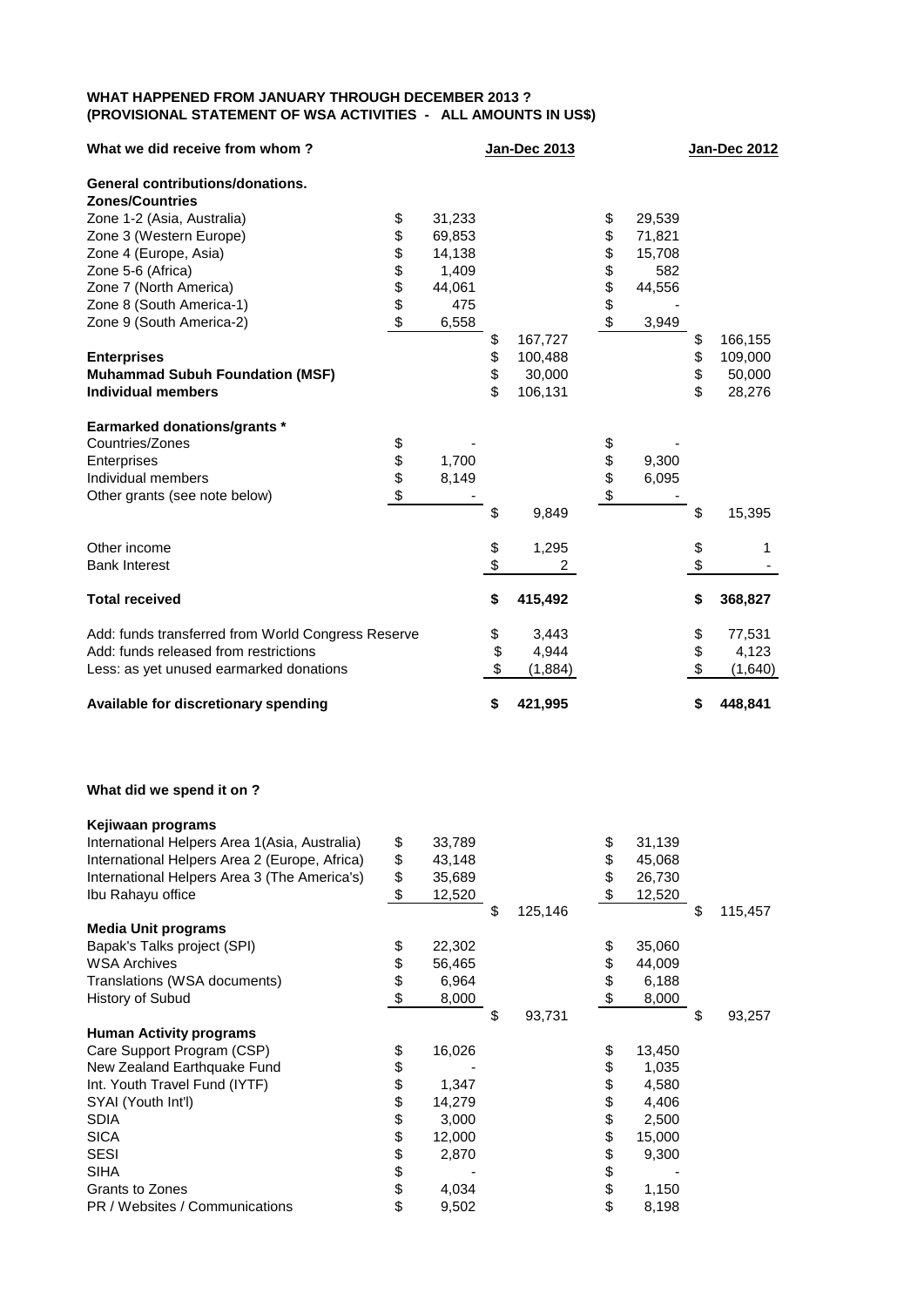## **WHAT HAPPENED FROM JANUARY THROUGH DECEMBER 2013 ? (PROVISIONAL STATEMENT OF WSA ACTIVITIES - ALL AMOUNTS IN US\$)**

| What we did receive from whom?                     |          |        | Jan-Dec 2013  |          |        | <b>Jan-Dec 2012</b> |
|----------------------------------------------------|----------|--------|---------------|----------|--------|---------------------|
| <b>General contributions/donations.</b>            |          |        |               |          |        |                     |
| <b>Zones/Countries</b>                             |          |        |               |          |        |                     |
| Zone 1-2 (Asia, Australia)                         | \$       | 31,233 |               |          | 29,539 |                     |
| Zone 3 (Western Europe)                            | \$       | 69,853 |               | \$<br>\$ | 71,821 |                     |
| Zone 4 (Europe, Asia)                              | \$       | 14,138 |               | \$       | 15,708 |                     |
| Zone 5-6 (Africa)                                  | \$\$\$\$ | 1,409  |               | \$\$\$\$ | 582    |                     |
| Zone 7 (North America)                             |          | 44,061 |               |          | 44,556 |                     |
| Zone 8 (South America-1)                           |          | 475    |               |          |        |                     |
| Zone 9 (South America-2)                           |          | 6,558  |               |          | 3,949  |                     |
|                                                    |          |        | \$<br>167,727 |          |        | \$<br>166,155       |
| <b>Enterprises</b>                                 |          |        | \$<br>100,488 |          |        | \$<br>109,000       |
| <b>Muhammad Subuh Foundation (MSF)</b>             |          |        | \$<br>30,000  |          |        | \$<br>50,000        |
| <b>Individual members</b>                          |          |        | \$<br>106,131 |          |        | \$<br>28,276        |
| <b>Earmarked donations/grants *</b>                |          |        |               |          |        |                     |
| Countries/Zones                                    | \$       |        |               |          |        |                     |
| Enterprises                                        | \$<br>\$ | 1,700  |               | \$\$\$   | 9,300  |                     |
| Individual members                                 |          | 8,149  |               |          | 6,095  |                     |
| Other grants (see note below)                      | \$       |        |               |          |        |                     |
|                                                    |          |        | \$<br>9,849   |          |        | \$<br>15,395        |
| Other income                                       |          |        | 1,295         |          |        | \$<br>1             |
| <b>Bank Interest</b>                               |          |        | \$<br>2       |          |        | \$                  |
| <b>Total received</b>                              |          |        | \$<br>415,492 |          |        | \$<br>368,827       |
| Add: funds transferred from World Congress Reserve |          |        | \$<br>3,443   |          |        | \$<br>77,531        |
| Add: funds released from restrictions              |          |        | \$<br>4,944   |          |        | \$<br>4,123         |
| Less: as yet unused earmarked donations            |          |        | \$<br>(1,884) |          |        | \$<br>(1,640)       |
| Available for discretionary spending               |          |        | \$<br>421,995 |          |        | \$<br>448,841       |

## **What did we spend it on ?**

| Kejiwaan programs                              |              |               |              |               |
|------------------------------------------------|--------------|---------------|--------------|---------------|
| International Helpers Area 1 (Asia, Australia) | \$<br>33,789 |               | \$<br>31,139 |               |
| International Helpers Area 2 (Europe, Africa)  | \$<br>43,148 |               | \$<br>45,068 |               |
| International Helpers Area 3 (The America's)   | \$<br>35,689 |               | \$<br>26,730 |               |
| Ibu Rahayu office                              | \$<br>12,520 |               | \$<br>12,520 |               |
|                                                |              | \$<br>125,146 |              | \$<br>115,457 |
| <b>Media Unit programs</b>                     |              |               |              |               |
| Bapak's Talks project (SPI)                    | \$<br>22,302 |               | \$<br>35,060 |               |
| <b>WSA Archives</b>                            | \$<br>56,465 |               | \$<br>44,009 |               |
| Translations (WSA documents)                   | \$<br>6,964  |               | \$<br>6,188  |               |
| History of Subud                               | \$<br>8,000  |               | \$<br>8,000  |               |
|                                                |              | \$<br>93,731  |              | \$<br>93,257  |
| <b>Human Activity programs</b>                 |              |               |              |               |
| Care Support Program (CSP)                     | \$<br>16,026 |               | \$<br>13,450 |               |
| New Zealand Earthquake Fund                    | \$           |               | \$<br>1,035  |               |
| Int. Youth Travel Fund (IYTF)                  | \$<br>1,347  |               | \$<br>4,580  |               |
| SYAI (Youth Int'l)                             | \$<br>14,279 |               | \$<br>4,406  |               |
| <b>SDIA</b>                                    | \$<br>3,000  |               | \$<br>2,500  |               |
| <b>SICA</b>                                    | \$<br>12,000 |               | \$<br>15,000 |               |
| <b>SESI</b>                                    | \$<br>2,870  |               | \$<br>9,300  |               |
| <b>SIHA</b>                                    | \$           |               | \$           |               |
| Grants to Zones                                | \$<br>4,034  |               | \$<br>1,150  |               |
| PR / Websites / Communications                 | \$<br>9,502  |               | \$<br>8,198  |               |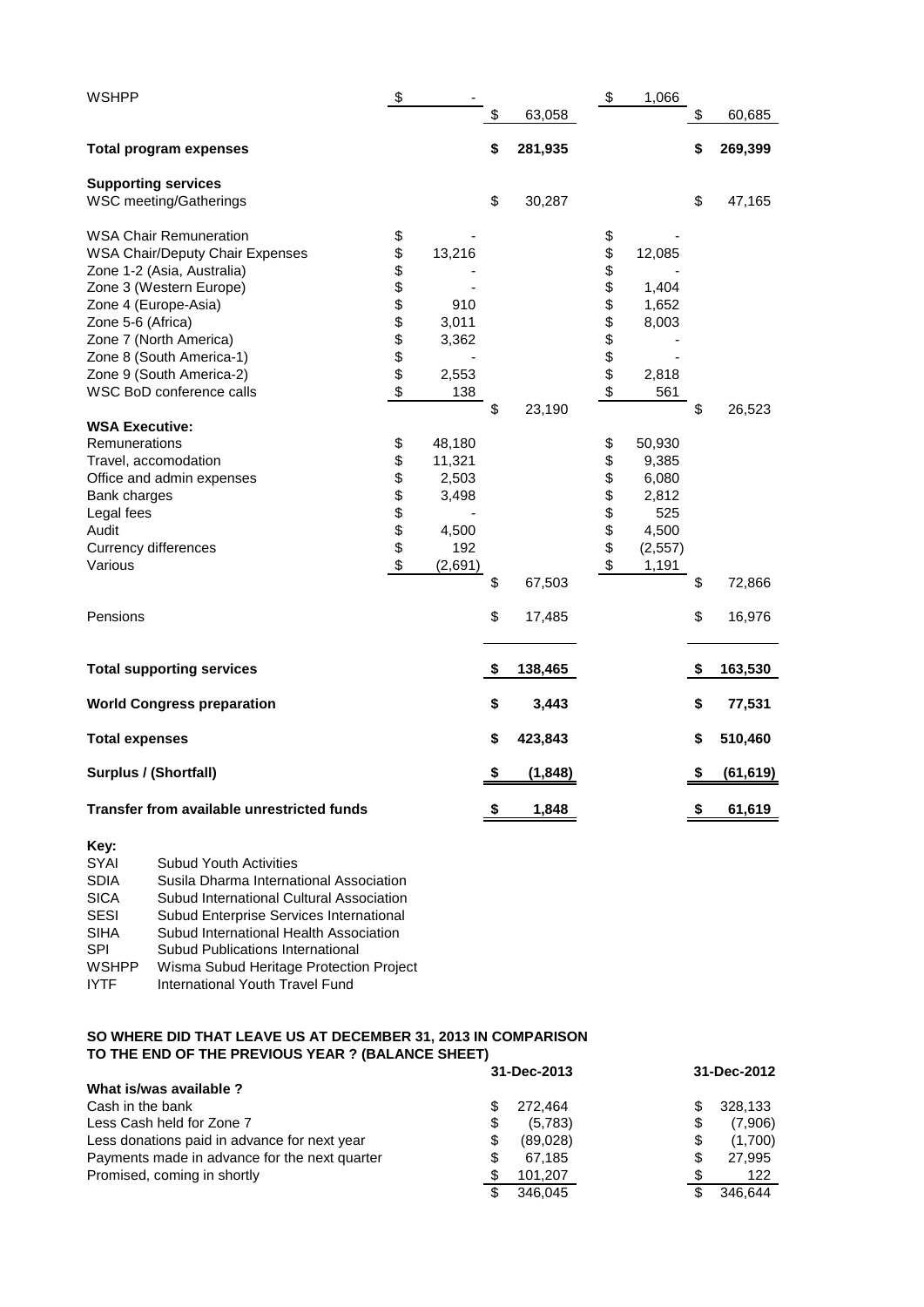| <b>WSHPP</b>                               | \$            |         |                | \$             | 1,066   |                        |           |
|--------------------------------------------|---------------|---------|----------------|----------------|---------|------------------------|-----------|
|                                            |               |         | \$<br>63,058   |                |         | \$                     | 60,685    |
| <b>Total program expenses</b>              |               |         | \$<br>281,935  |                |         | \$                     | 269,399   |
| <b>Supporting services</b>                 |               |         | \$             |                |         | \$                     |           |
| <b>WSC meeting/Gatherings</b>              |               |         | 30,287         |                |         |                        | 47,165    |
| <b>WSA Chair Remuneration</b>              | \$            |         |                | \$             |         |                        |           |
| <b>WSA Chair/Deputy Chair Expenses</b>     | \$            | 13,216  |                | \$             | 12,085  |                        |           |
| Zone 1-2 (Asia, Australia)                 | \$            |         |                | \$             |         |                        |           |
| Zone 3 (Western Europe)                    |               |         |                |                | 1,404   |                        |           |
| Zone 4 (Europe-Asia)                       | <b>888888</b> | 910     |                | <b>8888888</b> | 1,652   |                        |           |
| Zone 5-6 (Africa)                          |               | 3,011   |                |                | 8,003   |                        |           |
| Zone 7 (North America)                     |               | 3,362   |                |                |         |                        |           |
| Zone 8 (South America-1)                   |               |         |                |                |         |                        |           |
| Zone 9 (South America-2)                   |               | 2,553   |                |                | 2,818   |                        |           |
| WSC BoD conference calls                   | \$            | 138     |                |                | 561     |                        |           |
|                                            |               |         | \$<br>23,190   |                |         | \$                     | 26,523    |
| <b>WSA Executive:</b>                      |               |         |                |                |         |                        |           |
| Remunerations                              | \$            | 48,180  |                | \$             | 50,930  |                        |           |
| Travel, accomodation                       | \$            | 11,321  |                | \$             | 9,385   |                        |           |
| Office and admin expenses                  |               | 2,503   |                | \$             | 6,080   |                        |           |
| Bank charges                               | \$\$\$\$\$    | 3,498   |                |                | 2,812   |                        |           |
| Legal fees                                 |               |         |                | \$\$\$         | 525     |                        |           |
| Audit                                      |               | 4,500   |                |                | 4,500   |                        |           |
| <b>Currency differences</b>                |               | 192     |                |                | (2,557) |                        |           |
| Various                                    | \$            | (2,691) |                | \$             | 1,191   |                        |           |
|                                            |               |         | \$<br>67,503   |                |         | \$                     | 72,866    |
|                                            |               |         |                |                |         |                        |           |
| Pensions                                   |               |         | \$<br>17,485   |                |         | \$                     | 16,976    |
| <b>Total supporting services</b>           |               |         | \$<br>138,465  |                |         | $\boldsymbol{\hat{z}}$ | 163,530   |
|                                            |               |         |                |                |         |                        |           |
| <b>World Congress preparation</b>          |               |         | \$<br>3,443    |                |         | \$                     | 77,531    |
| <b>Total expenses</b>                      |               |         | \$<br>423,843  |                |         | \$                     | 510,460   |
| <b>Surplus / (Shortfall)</b>               |               |         | \$<br>(1, 848) |                |         | \$                     | (61, 619) |
| Transfer from available unrestricted funds |               |         | \$<br>1,848    |                |         | \$                     | 61,619    |

## **Key:**

| <b>SYAI</b>  | <b>Subud Youth Activities</b>            |
|--------------|------------------------------------------|
| <b>SDIA</b>  | Susila Dharma International Association  |
| <b>SICA</b>  | Subud International Cultural Association |
| <b>SESI</b>  | Subud Enterprise Services International  |
| <b>SIHA</b>  | Subud International Health Association   |
| <b>SPI</b>   | <b>Subud Publications International</b>  |
| <b>WSHPP</b> | Wisma Subud Heritage Protection Project  |
| <b>IYTF</b>  | International Youth Travel Fund          |
|              |                                          |

## **SO WHERE DID THAT LEAVE US AT DECEMBER 31, 2013 IN COMPARISON TO THE END OF THE PREVIOUS YEAR ? (BALANCE SHEET)**

|                                               | 31-Dec-2013    | 31-Dec-2012   |  |  |
|-----------------------------------------------|----------------|---------------|--|--|
| What is/was available?                        |                |               |  |  |
| Cash in the bank                              | 272.464<br>S   | 328.133<br>S  |  |  |
| Less Cash held for Zone 7                     | \$<br>(5.783)  | (7,906)<br>\$ |  |  |
| Less donations paid in advance for next year  | \$<br>(89,028) | S<br>(1,700)  |  |  |
| Payments made in advance for the next quarter | \$<br>67.185   | 27.995<br>S   |  |  |
| Promised, coming in shortly                   | \$<br>101.207  | 122<br>S      |  |  |
|                                               | 346.045<br>S   | 346.644<br>£. |  |  |